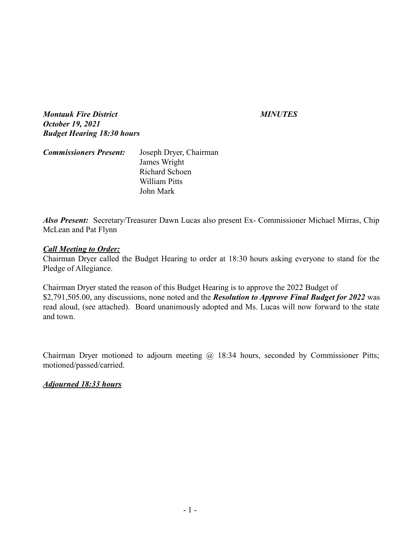*Montauk Fire District MINUTES October 19, 2021 Budget Hearing 18:30 hours*

| <b>Commissioners Present:</b> | Joseph Dryer, Chairman |  |
|-------------------------------|------------------------|--|
|                               | James Wright           |  |
|                               | Richard Schoen         |  |
|                               | William Pitts          |  |
|                               | John Mark              |  |

*Also Present:* Secretary/Treasurer Dawn Lucas also present Ex- Commissioner Michael Mirras, Chip McLean and Pat Flynn

## *Call Meeting to Order:*

Chairman Dryer called the Budget Hearing to order at 18:30 hours asking everyone to stand for the Pledge of Allegiance.

Chairman Dryer stated the reason of this Budget Hearing is to approve the 2022 Budget of \$2,791,505.00, any discussions, none noted and the *Resolution to Approve Final Budget for 2022* was read aloud, (see attached). Board unanimously adopted and Ms. Lucas will now forward to the state and town.

Chairman Dryer motioned to adjourn meeting @ 18:34 hours, seconded by Commissioner Pitts; motioned/passed/carried.

## *Adjourned 18:33 hours*